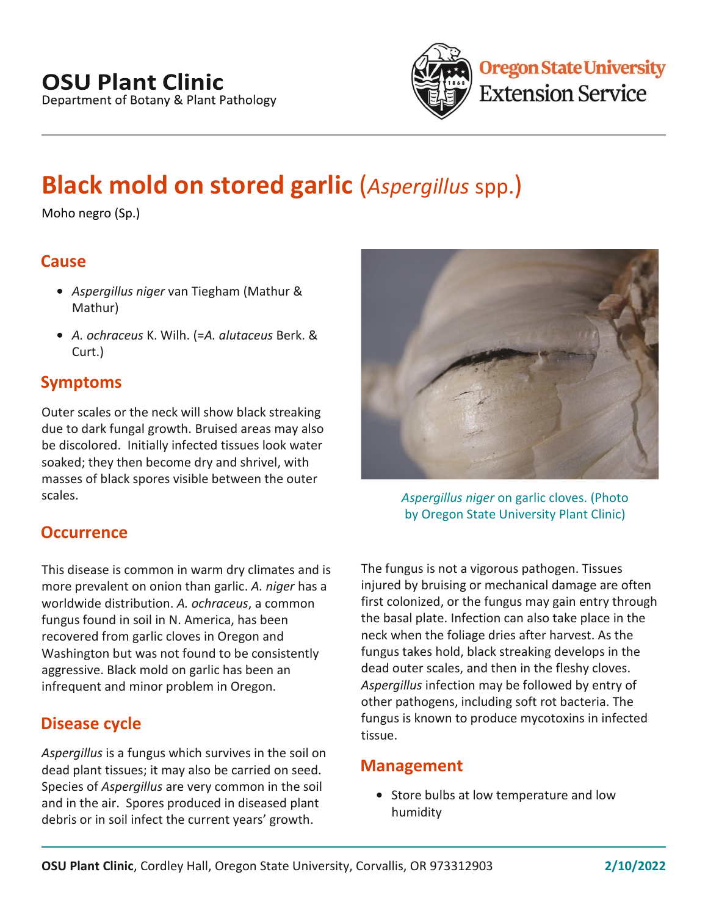

# **Black mold on stored garlic** (*Aspergillus* spp.)

Moho negro (Sp.)

## **Cause**

- **•** *Aspergillus niger* van Tiegham (Mathur & Mathur)
- **•** *A. ochraceus* K. Wilh. (=*A. alutaceus* Berk. & Curt.)

## **Symptoms**

Outer scales or the neck will show black streaking due to dark fungal growth. Bruised areas may also be discolored. Initially infected tissues look water soaked; they then become dry and shrivel, with masses of black spores visible between the outer scales.

## **Occurrence**

This disease is common in warm dry climates and is more prevalent on onion than garlic. *A. niger* has a worldwide distribution. *A. ochraceus*, a common fungus found in soil in N. America, has been recovered from garlic cloves in Oregon and Washington but was not found to be consistently aggressive. Black mold on garlic has been an infrequent and minor problem in Oregon.

## **Disease cycle**

*Aspergillus* is a fungus which survives in the soil on dead plant tissues; it may also be carried on seed. Species of *Aspergillus* are very common in the soil and in the air. Spores produced in diseased plant debris or in soil infect the current years' growth.



*Aspergillus niger* on garlic cloves. (Photo by Oregon State University Plant Clinic)

The fungus is not a vigorous pathogen. Tissues injured by bruising or mechanical damage are often first colonized, or the fungus may gain entry through the basal plate. Infection can also take place in the neck when the foliage dries after harvest. As the fungus takes hold, black streaking develops in the dead outer scales, and then in the fleshy cloves. *Aspergillus* infection may be followed by entry of other pathogens, including soft rot bacteria. The fungus is known to produce mycotoxins in infected tissue.

#### **Management**

**•** Store bulbs at low temperature and low humidity